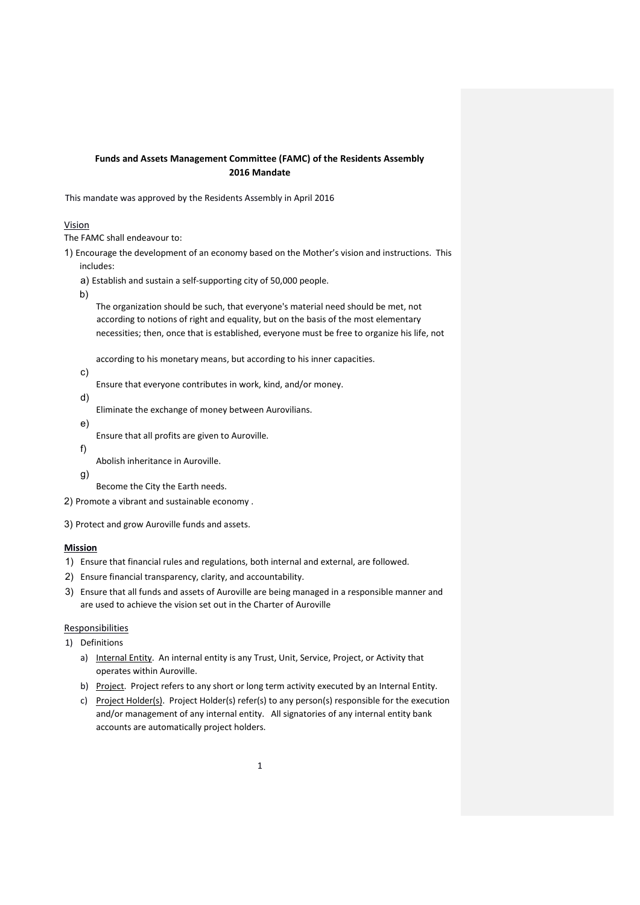# **Funds and Assets Management Committee (FAMC) of the Residents Assembly 2016 Mandate**

This mandate was approved by the Residents Assembly in April 2016

## Vision

The FAMC shall endeavour to:

1) Encourage the development of an economy based on the Mother's vision and instructions. This includes:

a) Establish and sustain a self-supporting city of 50,000 people.

b)

The organization should be such, that everyone's material need should be met, not according to notions of right and equality, but on the basis of the most elementary necessities; then, once that is established, everyone must be free to organize his life, not

according to his monetary means, but according to his inner capacities.

c)

Ensure that everyone contributes in work, kind, and/or money.

d)

Eliminate the exchange of money between Aurovilians.

e)

Ensure that all profits are given to Auroville.

f)

Abolish inheritance in Auroville.

g)

Become the City the Earth needs.

2) Promote a vibrant and sustainable economy .

3) Protect and grow Auroville funds and assets.

# **Mission**

1) Ensure that financial rules and regulations, both internal and external, are followed.

- 2) Ensure financial transparency, clarity, and accountability.
- 3) Ensure that all funds and assets of Auroville are being managed in a responsible manner and are used to achieve the vision set out in the Charter of Auroville

# **Responsibilities**

1) Definitions

- a) Internal Entity. An internal entity is any Trust, Unit, Service, Project, or Activity that operates within Auroville.
- b) Project. Project refers to any short or long term activity executed by an Internal Entity.
- c) Project Holder(s). Project Holder(s) refer(s) to any person(s) responsible for the execution and/or management of any internal entity. All signatories of any internal entity bank accounts are automatically project holders.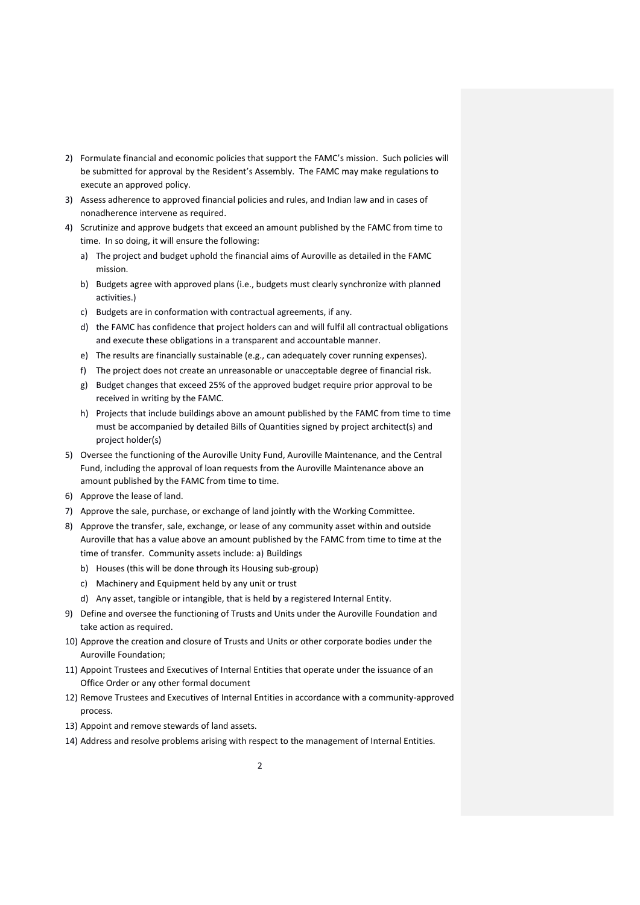- 2) Formulate financial and economic policies that support the FAMC's mission. Such policies will be submitted for approval by the Resident's Assembly. The FAMC may make regulations to execute an approved policy.
- 3) Assess adherence to approved financial policies and rules, and Indian law and in cases of nonadherence intervene as required.
- 4) Scrutinize and approve budgets that exceed an amount published by the FAMC from time to time. In so doing, it will ensure the following:
	- a) The project and budget uphold the financial aims of Auroville as detailed in the FAMC mission.
	- b) Budgets agree with approved plans (i.e., budgets must clearly synchronize with planned activities.)
	- c) Budgets are in conformation with contractual agreements, if any.
	- d) the FAMC has confidence that project holders can and will fulfil all contractual obligations and execute these obligations in a transparent and accountable manner.
	- e) The results are financially sustainable (e.g., can adequately cover running expenses).
	- f) The project does not create an unreasonable or unacceptable degree of financial risk.
	- g) Budget changes that exceed 25% of the approved budget require prior approval to be received in writing by the FAMC.
	- h) Projects that include buildings above an amount published by the FAMC from time to time must be accompanied by detailed Bills of Quantities signed by project architect(s) and project holder(s)
- 5) Oversee the functioning of the Auroville Unity Fund, Auroville Maintenance, and the Central Fund, including the approval of loan requests from the Auroville Maintenance above an amount published by the FAMC from time to time.
- 6) Approve the lease of land.
- 7) Approve the sale, purchase, or exchange of land jointly with the Working Committee.
- 8) Approve the transfer, sale, exchange, or lease of any community asset within and outside Auroville that has a value above an amount published by the FAMC from time to time at the time of transfer. Community assets include: a) Buildings
	- b) Houses (this will be done through its Housing sub-group)
	- c) Machinery and Equipment held by any unit or trust
	- d) Any asset, tangible or intangible, that is held by a registered Internal Entity.
- 9) Define and oversee the functioning of Trusts and Units under the Auroville Foundation and take action as required.
- 10) Approve the creation and closure of Trusts and Units or other corporate bodies under the Auroville Foundation;
- 11) Appoint Trustees and Executives of Internal Entities that operate under the issuance of an Office Order or any other formal document
- 12) Remove Trustees and Executives of Internal Entities in accordance with a community-approved process.
- 13) Appoint and remove stewards of land assets.
- 14) Address and resolve problems arising with respect to the management of Internal Entities.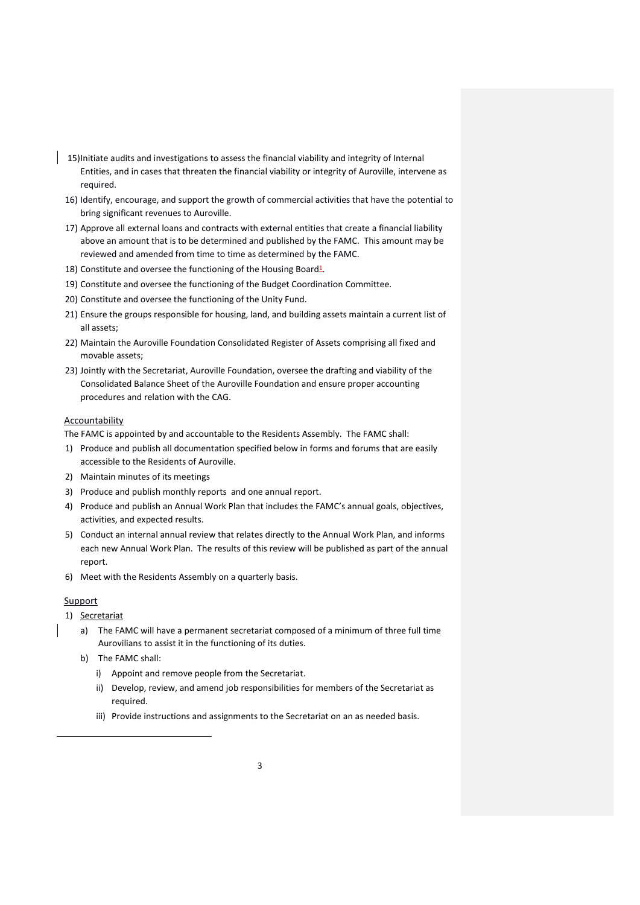- 15)Initiate audits and investigations to assess the financial viability and integrity of Internal Entities, and in cases that threaten the financial viability or integrity of Auroville, intervene as required.
- 16) Identify, encourage, and support the growth of commercial activities that have the potential to bring significant revenues to Auroville.
- 17) Approve all external loans and contracts with external entities that create a financial liability above an amount that is to be determined and published by the FAMC. This amount may be reviewed and amended from time to time as determined by the FAMC.
- 18) Constitute and oversee the functioning of the Housing Board<sup>1</sup>.
- 19) Constitute and oversee the functioning of the Budget Coordination Committee.
- 20) Constitute and oversee the functioning of the Unity Fund.
- 21) Ensure the groups responsible for housing, land, and building assets maintain a current list of all assets;
- 22) Maintain the Auroville Foundation Consolidated Register of Assets comprising all fixed and movable assets;
- 23) Jointly with the Secretariat, Auroville Foundation, oversee the drafting and viability of the Consolidated Balance Sheet of the Auroville Foundation and ensure proper accounting procedures and relation with the CAG.

### Accountability

The FAMC is appointed by and accountable to the Residents Assembly. The FAMC shall:

- 1) Produce and publish all documentation specified below in forms and forums that are easily accessible to the Residents of Auroville.
- 2) Maintain minutes of its meetings
- 3) Produce and publish monthly reports and one annual report.
- 4) Produce and publish an Annual Work Plan that includes the FAMC's annual goals, objectives, activities, and expected results.
- 5) Conduct an internal annual review that relates directly to the Annual Work Plan, and informs each new Annual Work Plan. The results of this review will be published as part of the annual report.
- 6) Meet with the Residents Assembly on a quarterly basis.

## **Support**

 $\overline{a}$ 

- 1) Secretariat
	- a) The FAMC will have a permanent secretariat composed of a minimum of three full time Aurovilians to assist it in the functioning of its duties.
	- b) The FAMC shall:
		- i) Appoint and remove people from the Secretariat.
		- ii) Develop, review, and amend job responsibilities for members of the Secretariat as required.
		- iii) Provide instructions and assignments to the Secretariat on an as needed basis.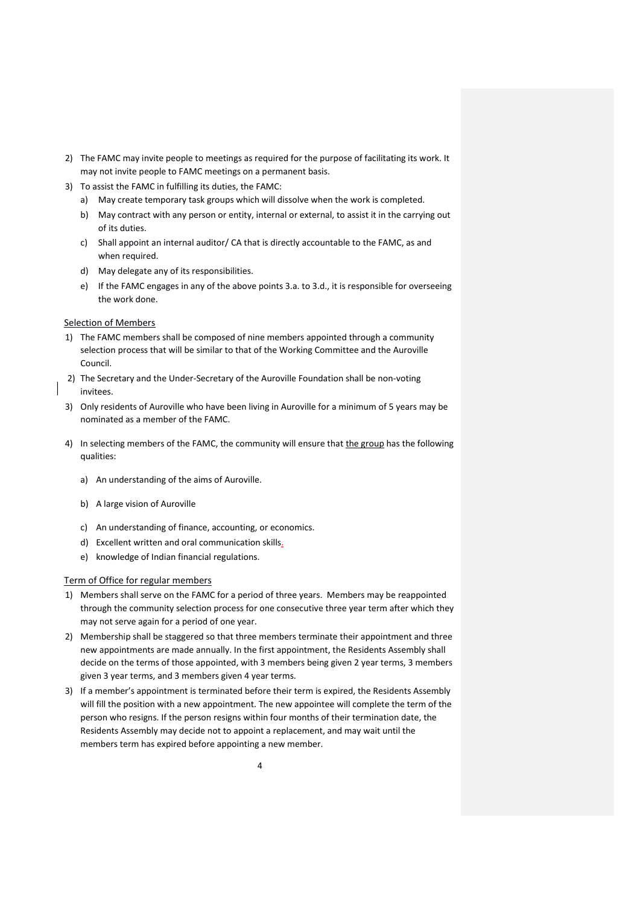- 2) The FAMC may invite people to meetings as required for the purpose of facilitating its work. It may not invite people to FAMC meetings on a permanent basis.
- 3) To assist the FAMC in fulfilling its duties, the FAMC:
	- a) May create temporary task groups which will dissolve when the work is completed.
	- b) May contract with any person or entity, internal or external, to assist it in the carrying out of its duties.
	- c) Shall appoint an internal auditor/ CA that is directly accountable to the FAMC, as and when required.
	- d) May delegate any of its responsibilities.
	- e) If the FAMC engages in any of the above points 3.a. to 3.d., it is responsible for overseeing the work done.

### Selection of Members

- 1) The FAMC members shall be composed of nine members appointed through a community selection process that will be similar to that of the Working Committee and the Auroville Council.
- 2) The Secretary and the Under-Secretary of the Auroville Foundation shall be non-voting invitees.
- 3) Only residents of Auroville who have been living in Auroville for a minimum of 5 years may be nominated as a member of the FAMC.
- 4) In selecting members of the FAMC, the community will ensure that the group has the following qualities:
	- a) An understanding of the aims of Auroville.
	- b) A large vision of Auroville
	- c) An understanding of finance, accounting, or economics.
	- d) Excellent written and oral communication skills.
	- e) knowledge of Indian financial regulations.

## Term of Office for regular members

- 1) Members shall serve on the FAMC for a period of three years. Members may be reappointed through the community selection process for one consecutive three year term after which they may not serve again for a period of one year.
- 2) Membership shall be staggered so that three members terminate their appointment and three new appointments are made annually. In the first appointment, the Residents Assembly shall decide on the terms of those appointed, with 3 members being given 2 year terms, 3 members given 3 year terms, and 3 members given 4 year terms.
- 3) If a member's appointment is terminated before their term is expired, the Residents Assembly will fill the position with a new appointment. The new appointee will complete the term of the person who resigns. If the person resigns within four months of their termination date, the Residents Assembly may decide not to appoint a replacement, and may wait until the members term has expired before appointing a new member.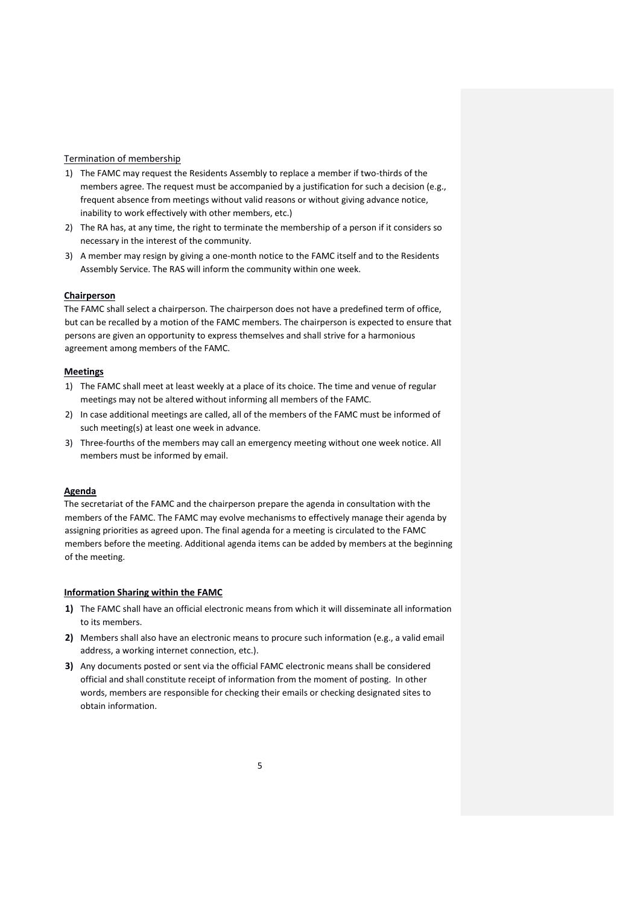### Termination of membership

- 1) The FAMC may request the Residents Assembly to replace a member if two-thirds of the members agree. The request must be accompanied by a justification for such a decision (e.g., frequent absence from meetings without valid reasons or without giving advance notice, inability to work effectively with other members, etc.)
- 2) The RA has, at any time, the right to terminate the membership of a person if it considers so necessary in the interest of the community.
- 3) A member may resign by giving a one-month notice to the FAMC itself and to the Residents Assembly Service. The RAS will inform the community within one week.

#### **Chairperson**

The FAMC shall select a chairperson. The chairperson does not have a predefined term of office, but can be recalled by a motion of the FAMC members. The chairperson is expected to ensure that persons are given an opportunity to express themselves and shall strive for a harmonious agreement among members of the FAMC.

#### **Meetings**

- 1) The FAMC shall meet at least weekly at a place of its choice. The time and venue of regular meetings may not be altered without informing all members of the FAMC.
- 2) In case additional meetings are called, all of the members of the FAMC must be informed of such meeting(s) at least one week in advance.
- 3) Three-fourths of the members may call an emergency meeting without one week notice. All members must be informed by email.

#### **Agenda**

The secretariat of the FAMC and the chairperson prepare the agenda in consultation with the members of the FAMC. The FAMC may evolve mechanisms to effectively manage their agenda by assigning priorities as agreed upon. The final agenda for a meeting is circulated to the FAMC members before the meeting. Additional agenda items can be added by members at the beginning of the meeting.

### **Information Sharing within the FAMC**

- **1)** The FAMC shall have an official electronic means from which it will disseminate all information to its members.
- **2)** Members shall also have an electronic means to procure such information (e.g., a valid email address, a working internet connection, etc.).
- **3)** Any documents posted or sent via the official FAMC electronic means shall be considered official and shall constitute receipt of information from the moment of posting. In other words, members are responsible for checking their emails or checking designated sites to obtain information.